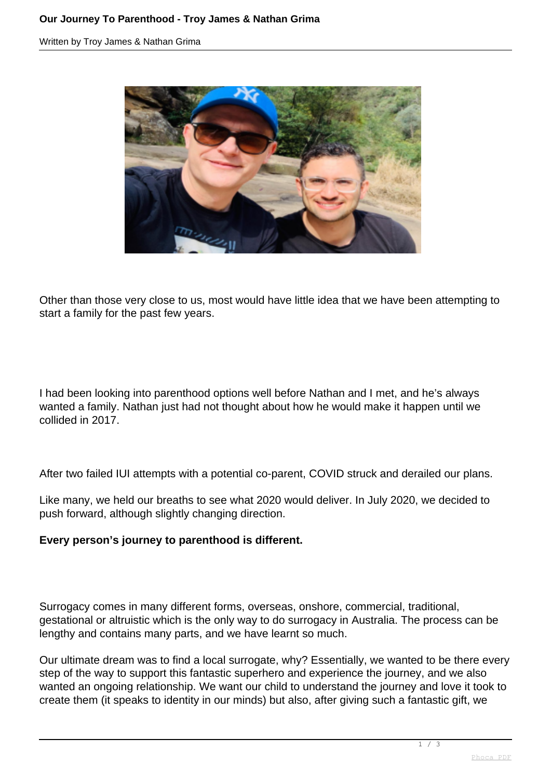Written by Troy James & Nathan Grima



Other than those very close to us, most would have little idea that we have been attempting to start a family for the past few years.

I had been looking into parenthood options well before Nathan and I met, and he's always wanted a family. Nathan just had not thought about how he would make it happen until we collided in 2017.

After two failed IUI attempts with a potential co-parent, COVID struck and derailed our plans.

Like many, we held our breaths to see what 2020 would deliver. In July 2020, we decided to push forward, although slightly changing direction.

## **Every person's journey to parenthood is different.**

Surrogacy comes in many different forms, overseas, onshore, commercial, traditional, gestational or altruistic which is the only way to do surrogacy in Australia. The process can be lengthy and contains many parts, and we have learnt so much.

Our ultimate dream was to find a local surrogate, why? Essentially, we wanted to be there every step of the way to support this fantastic superhero and experience the journey, and we also wanted an ongoing relationship. We want our child to understand the journey and love it took to create them (it speaks to identity in our minds) but also, after giving such a fantastic gift, we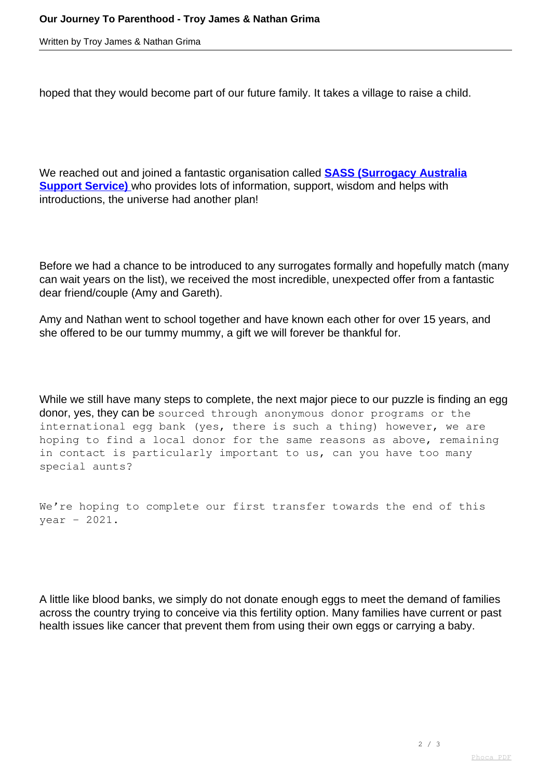Written by Troy James & Nathan Grima

hoped that they would become part of our future family. It takes a village to raise a child.

We reached out and joined a fantastic organisation called **[SASS \(Surrogacy Australia](https://www.surrogacyaustralia.org/register/) [Support Service\)](https://www.surrogacyaustralia.org/register/)** [w](https://www.surrogacyaustralia.org/register/)ho provides lots of information, support, wisdom and helps with introductions, the universe had another plan!

Before we had a chance to be introduced to any surrogates formally and hopefully match (many can wait years on the list), we received the most incredible, unexpected offer from a fantastic dear friend/couple (Amy and Gareth).

Amy and Nathan went to school together and have known each other for over 15 years, and she offered to be our tummy mummy, a gift we will forever be thankful for.

While we still have many steps to complete, the next major piece to our puzzle is finding an egg donor, yes, they can be sourced through anonymous donor programs or the international egg bank (yes, there is such a thing) however, we are hoping to find a local donor for the same reasons as above, remaining in contact is particularly important to us, can you have too many special aunts?

```
We're hoping to complete our first transfer towards the end of this
year - 2021.
```
A little like blood banks, we simply do not donate enough eggs to meet the demand of families across the country trying to conceive via this fertility option. Many families have current or past health issues like cancer that prevent them from using their own eggs or carrying a baby.